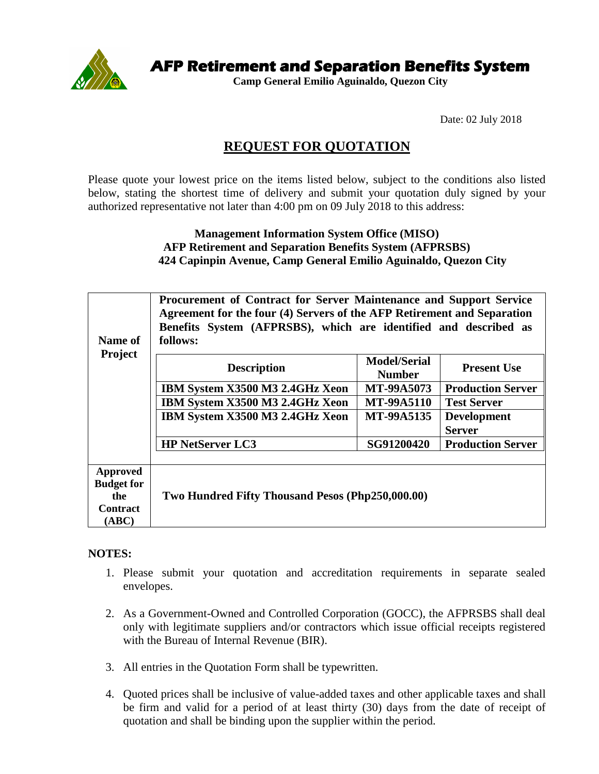

**AFP Retirement and Separation Benefits System** 

**Camp General Emilio Aguinaldo, Quezon City**

Date: 02 July 2018

## **REQUEST FOR QUOTATION**

Please quote your lowest price on the items listed below, subject to the conditions also listed below, stating the shortest time of delivery and submit your quotation duly signed by your authorized representative not later than 4:00 pm on 09 July 2018 to this address:

## **Management Information System Office (MISO) AFP Retirement and Separation Benefits System (AFPRSBS) 424 Capinpin Avenue, Camp General Emilio Aguinaldo, Quezon City**

| Name of<br><b>Project</b>     | Procurement of Contract for Server Maintenance and Support Service<br>Agreement for the four (4) Servers of the AFP Retirement and Separation<br>Benefits System (AFPRSBS), which are identified and described as<br>follows: |                                      |                                     |  |
|-------------------------------|-------------------------------------------------------------------------------------------------------------------------------------------------------------------------------------------------------------------------------|--------------------------------------|-------------------------------------|--|
|                               | <b>Description</b>                                                                                                                                                                                                            | <b>Model/Serial</b><br><b>Number</b> | <b>Present Use</b>                  |  |
|                               | IBM System X3500 M3 2.4GHz Xeon                                                                                                                                                                                               | MT-99A5073                           | <b>Production Server</b>            |  |
|                               | IBM System X3500 M3 2.4GHz Xeon                                                                                                                                                                                               | <b>MT-99A5110</b>                    | <b>Test Server</b>                  |  |
|                               | IBM System X3500 M3 2.4GHz Xeon                                                                                                                                                                                               | <b>MT-99A5135</b>                    | <b>Development</b><br><b>Server</b> |  |
|                               | <b>HP NetServer LC3</b>                                                                                                                                                                                                       | SG91200420                           | <b>Production Server</b>            |  |
|                               |                                                                                                                                                                                                                               |                                      |                                     |  |
| Approved<br><b>Budget for</b> |                                                                                                                                                                                                                               |                                      |                                     |  |
| the                           | Two Hundred Fifty Thousand Pesos (Php250,000.00)                                                                                                                                                                              |                                      |                                     |  |
| <b>Contract</b><br>(ABC)      |                                                                                                                                                                                                                               |                                      |                                     |  |

## **NOTES:**

- 1. Please submit your quotation and accreditation requirements in separate sealed envelopes.
- 2. As a Government-Owned and Controlled Corporation (GOCC), the AFPRSBS shall deal only with legitimate suppliers and/or contractors which issue official receipts registered with the Bureau of Internal Revenue (BIR).
- 3. All entries in the Quotation Form shall be typewritten.
- 4. Quoted prices shall be inclusive of value-added taxes and other applicable taxes and shall be firm and valid for a period of at least thirty (30) days from the date of receipt of quotation and shall be binding upon the supplier within the period.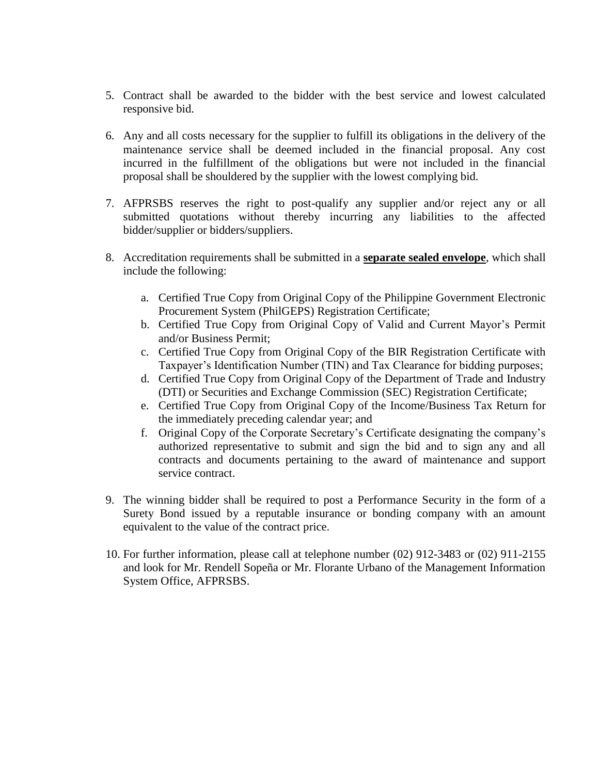- 5. Contract shall be awarded to the bidder with the best service and lowest calculated responsive bid.
- 6. Any and all costs necessary for the supplier to fulfill its obligations in the delivery of the maintenance service shall be deemed included in the financial proposal. Any cost incurred in the fulfillment of the obligations but were not included in the financial proposal shall be shouldered by the supplier with the lowest complying bid.
- 7. AFPRSBS reserves the right to post-qualify any supplier and/or reject any or all submitted quotations without thereby incurring any liabilities to the affected bidder/supplier or bidders/suppliers.
- 8. Accreditation requirements shall be submitted in a **separate sealed envelope**, which shall include the following:
	- a. Certified True Copy from Original Copy of the Philippine Government Electronic Procurement System (PhilGEPS) Registration Certificate;
	- b. Certified True Copy from Original Copy of Valid and Current Mayor's Permit and/or Business Permit;
	- c. Certified True Copy from Original Copy of the BIR Registration Certificate with Taxpayer's Identification Number (TIN) and Tax Clearance for bidding purposes;
	- d. Certified True Copy from Original Copy of the Department of Trade and Industry (DTI) or Securities and Exchange Commission (SEC) Registration Certificate;
	- e. Certified True Copy from Original Copy of the Income/Business Tax Return for the immediately preceding calendar year; and
	- f. Original Copy of the Corporate Secretary's Certificate designating the company's authorized representative to submit and sign the bid and to sign any and all contracts and documents pertaining to the award of maintenance and support service contract.
- 9. The winning bidder shall be required to post a Performance Security in the form of a Surety Bond issued by a reputable insurance or bonding company with an amount equivalent to the value of the contract price.
- 10. For further information, please call at telephone number (02) 912-3483 or (02) 911-2155 and look for Mr. Rendell Sopeña or Mr. Florante Urbano of the Management Information System Office, AFPRSBS.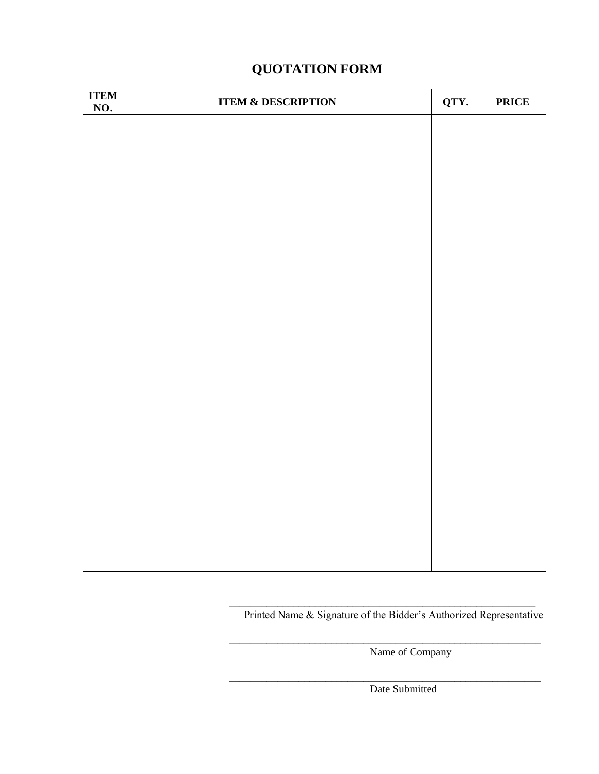| <b>ITEM</b><br><b>NO.</b> | <b>ITEM &amp; DESCRIPTION</b> | QTY. | <b>PRICE</b> |
|---------------------------|-------------------------------|------|--------------|
|                           |                               |      |              |
|                           |                               |      |              |
|                           |                               |      |              |
|                           |                               |      |              |
|                           |                               |      |              |
|                           |                               |      |              |
|                           |                               |      |              |
|                           |                               |      |              |
|                           |                               |      |              |
|                           |                               |      |              |
|                           |                               |      |              |
|                           |                               |      |              |
|                           |                               |      |              |
|                           |                               |      |              |
|                           |                               |      |              |
|                           |                               |      |              |
|                           |                               |      |              |
|                           |                               |      |              |

## **QUOTATION FORM**

\_\_\_\_\_\_\_\_\_\_\_\_\_\_\_\_\_\_\_\_\_\_\_\_\_\_\_\_\_\_\_\_\_\_\_\_\_\_\_\_\_\_\_\_\_\_\_\_\_\_\_\_\_\_\_\_\_ Printed Name & Signature of the Bidder's Authorized Representative

\_\_\_\_\_\_\_\_\_\_\_\_\_\_\_\_\_\_\_\_\_\_\_\_\_\_\_\_\_\_\_\_\_\_\_\_\_\_\_\_\_\_\_\_\_\_\_\_\_\_\_\_\_\_\_\_\_\_

\_\_\_\_\_\_\_\_\_\_\_\_\_\_\_\_\_\_\_\_\_\_\_\_\_\_\_\_\_\_\_\_\_\_\_\_\_\_\_\_\_\_\_\_\_\_\_\_\_\_\_\_\_\_\_\_\_\_

Name of Company

Date Submitted